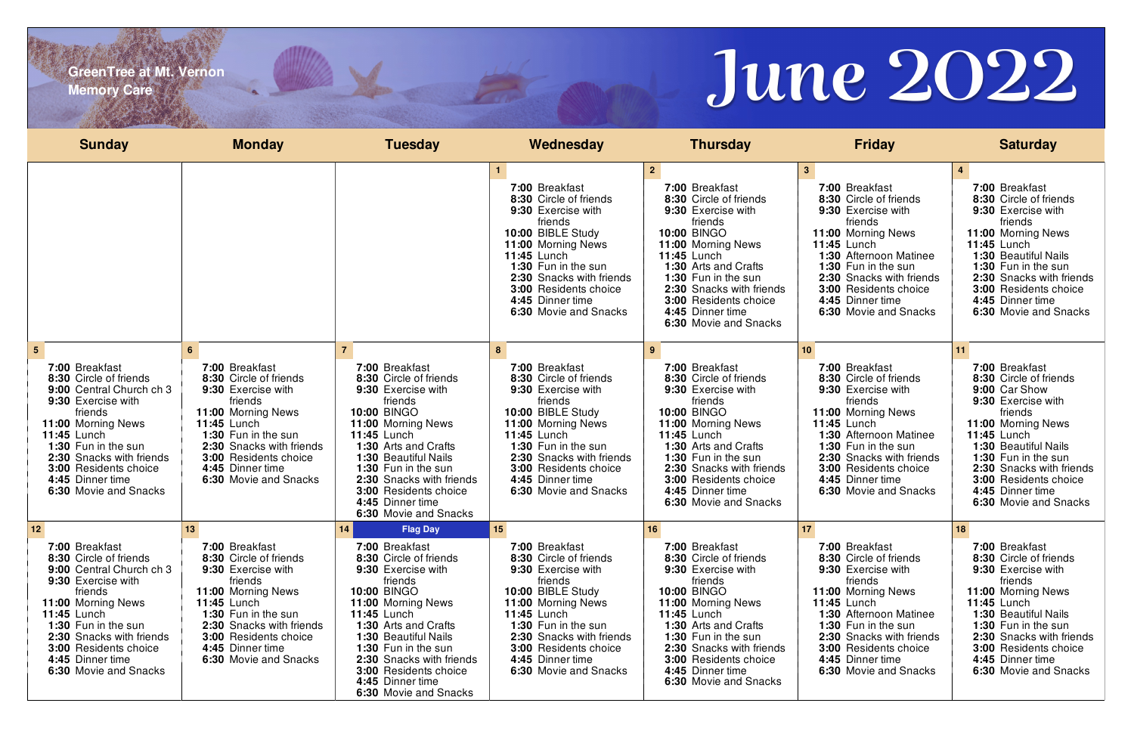**GreenTree at Mt. Vernon Memory Care**

| <b>Sunday</b>                                                                                                                                                                                                                                                                                        | <b>Monday</b>                                                                                                                                                                                                                                                            | <b>Tuesday</b>                                                                                                                                                                                                                                                                                                                                              | Wednesday                                                                                                                                                                                                                                                                                      | <b>Thursday</b>                                                                                                                                                                                                                                                                                                | <b>Friday</b>                                                                                                                                                                                                                                                                              | <b>Saturday</b>                                                                                                                                                                                                                                                                               |
|------------------------------------------------------------------------------------------------------------------------------------------------------------------------------------------------------------------------------------------------------------------------------------------------------|--------------------------------------------------------------------------------------------------------------------------------------------------------------------------------------------------------------------------------------------------------------------------|-------------------------------------------------------------------------------------------------------------------------------------------------------------------------------------------------------------------------------------------------------------------------------------------------------------------------------------------------------------|------------------------------------------------------------------------------------------------------------------------------------------------------------------------------------------------------------------------------------------------------------------------------------------------|----------------------------------------------------------------------------------------------------------------------------------------------------------------------------------------------------------------------------------------------------------------------------------------------------------------|--------------------------------------------------------------------------------------------------------------------------------------------------------------------------------------------------------------------------------------------------------------------------------------------|-----------------------------------------------------------------------------------------------------------------------------------------------------------------------------------------------------------------------------------------------------------------------------------------------|
|                                                                                                                                                                                                                                                                                                      |                                                                                                                                                                                                                                                                          |                                                                                                                                                                                                                                                                                                                                                             | 7:00 Breakfast<br>8:30 Circle of friends<br>9:30 Exercise with<br>friends<br>10:00 BIBLE Study<br>11:00 Morning News<br><b>11:45 Lunch</b><br>1:30 Fun in the sun<br>2:30 Snacks with friends<br><b>3:00 Residents choice</b><br>4:45 Dinner time<br>6:30 Movie and Snacks                     | 2 <sup>1</sup><br>7:00 Breakfast<br>8:30 Circle of friends<br>9:30 Exercise with<br>friends<br><b>10:00 BINGO</b><br>11:00 Morning News<br><b>11:45 Lunch</b><br>1:30 Arts and Crafts<br>1:30 Fun in the sun<br>2:30 Snacks with friends<br>3:00 Residents choice<br>4:45 Dinner time<br>6:30 Movie and Snacks | 3 <sup>1</sup><br>7:00 Breakfast<br>8:30 Circle of friends<br>9:30 Exercise with<br>friends<br>11:00 Morning News<br><b>11:45 Lunch</b><br>1:30 Afternoon Matinee<br>1:30 Fun in the sun<br>2:30 Snacks with friends<br>3:00 Residents choice<br>4:45 Dinner time<br>6:30 Movie and Snacks | $\overline{4}$<br>7:00 Breakfast<br>8:30 Circle of friends<br>9:30 Exercise with<br>friends<br>11:00 Morning News<br><b>11:45 Lunch</b><br>1:30 Beautiful Nails<br>1:30 Fun in the sun<br>2:30 Snacks with friends<br>3:00 Residents choice<br>4:45 Dinner time<br>6:30 Movie and Snacks      |
| 5 <sup>5</sup><br>7:00 Breakfast<br>8:30 Circle of friends<br>9:00 Central Church ch 3<br>9:30 Exercise with<br>friends<br>11:00 Morning News<br>11:45 Lunch<br>1:30 Fun in the sun<br>2:30 Snacks with friends<br>3:00 Residents choice<br>4:45 Dinner time<br>6:30 Movie and Snacks                | $6^{\circ}$<br>7:00 Breakfast<br>8:30 Circle of friends<br>9:30 Exercise with<br>friends<br>11:00 Morning News<br><b>11:45 Lunch</b><br>1:30 Fun in the sun<br>2:30 Snacks with friends<br>3:00 Residents choice<br>4:45 Dinner time<br>6:30 Movie and Snacks            | 7:00 Breakfast<br>8:30 Circle of friends<br>9:30 Exercise with<br>friends<br><b>10:00 BINGO</b><br>11:00 Morning News<br><b>11:45 Lunch</b><br>1:30 Arts and Crafts<br>1:30 Beautiful Nails<br>1:30 Fun in the sun<br>2:30 Snacks with friends<br>3:00 Residents choice<br>4:45 Dinner time<br>6:30 Movie and Snacks                                        | 8<br>7:00 Breakfast<br>8:30 Circle of friends<br>9:30 Exercise with<br>friends<br>10:00 BIBLE Study<br>11:00 Morning News<br><b>11:45 Lunch</b><br>1:30 Fun in the sun<br>2:30 Snacks with friends<br>3:00 Residents choice<br>4:45 Dinner time<br>6:30 Movie and Snacks                       | 9<br>7:00 Breakfast<br>8:30 Circle of friends<br>9:30 Exercise with<br>friends<br><b>10:00 BINGO</b><br>11:00 Morning News<br><b>11:45 Lunch</b><br>1:30 Arts and Crafts<br>1:30 Fun in the sun<br>2:30 Snacks with friends<br>3:00 Residents choice<br>4:45 Dinner time<br>6:30 Movie and Snacks              | 10 <sub>1</sub><br>7:00 Breakfast<br>8:30 Circle of friends<br>9:30 Exercise with<br>friends<br>11:00 Morning News<br>11:45 Lunch<br>1:30 Afternoon Matinee<br>1:30 Fun in the sun<br>2:30 Snacks with friends<br>3:00 Residents choice<br>4:45 Dinner time<br>6:30 Movie and Snacks       | 11<br>7:00 Breakfast<br>8:30 Circle of friends<br>9:00 Car Show<br>9:30 Exercise with<br>friends<br>11:00 Morning News<br><b>11:45 Lunch</b><br>1:30 Beautiful Nails<br>1:30 Fun in the sun<br>2:30 Snacks with friends<br>3:00 Residents choice<br>4:45 Dinner time<br>6:30 Movie and Snacks |
| 12 <sub>2</sub><br>7:00 Breakfast<br>8:30 Circle of friends<br>9:00 Central Church ch 3<br>9:30 Exercise with<br>friends<br>11:00 Morning News<br><b>11:45 Lunch</b><br>1:30 Fun in the sun<br>2:30 Snacks with friends<br><b>3:00 Residents choice</b><br>4:45 Dinner time<br>6:30 Movie and Snacks | 13 <sup>°</sup><br>7:00 Breakfast<br>8:30 Circle of friends<br>9:30 Exercise with<br>friends<br>11:00 Morning News<br><b>11:45 Lunch</b><br>1:30 Fun in the sun<br>2:30 Snacks with friends<br><b>3:00 Residents choice</b><br>4:45 Dinner time<br>6:30 Movie and Snacks | 14<br><b>Flag Day</b><br>7:00 Breakfast<br>8:30 Circle of friends<br>9:30 Exercise with<br>friends<br><b>10:00 BINGO</b><br>11:00 Morning News<br><b>11:45 Lunch</b><br><b>1:30 Arts and Crafts</b><br>1:30 Beautiful Nails<br>1:30 Fun in the sun<br>2:30 Snacks with friends<br><b>3:00 Residents choice</b><br>4:45 Dinner time<br>6:30 Movie and Snacks | 15 <sub>15</sub><br>7:00 Breakfast<br>8:30 Circle of friends<br>9:30 Exercise with<br>friends<br>10:00 BIBLE Study<br>11:00 Morning News<br><b>11:45 Lunch</b><br>1:30 Fun in the sun<br>2:30 Snacks with friends<br><b>3:00 Residents choice</b><br>4:45 Dinner time<br>6:30 Movie and Snacks | 16<br>7:00 Breakfast<br>8:30 Circle of friends<br>9:30 Exercise with<br>friends<br><b>10:00 BINGO</b><br>11:00 Morning News<br><b>11:45 Lunch</b><br><b>1:30 Arts and Crafts</b><br>1:30 Fun in the sun<br>2:30 Snacks with friends<br>3:00 Residents choice<br>4:45 Dinner time<br>6:30 Movie and Snacks      | 17<br>7:00 Breakfast<br>8:30 Circle of friends<br>9:30 Exercise with<br>friends<br>11:00 Morning News<br><b>11:45 Lunch</b><br>1:30 Afternoon Matinee<br>1:30 Fun in the sun<br>2:30 Snacks with friends<br>3:00 Residents choice<br>4:45 Dinner time<br>6:30 Movie and Snacks             | 18<br>7:00 Breakfast<br>8:30 Circle of friends<br>9:30 Exercise with<br>friends<br>11:00 Morning News<br><b>11:45 Lunch</b><br>1:30 Beautiful Nails<br>1:30 Fun in the sun<br>2:30 Snacks with friends<br>3:00 Residents choice<br>4:45 Dinner time<br>6:30 Movie and Snacks                  |